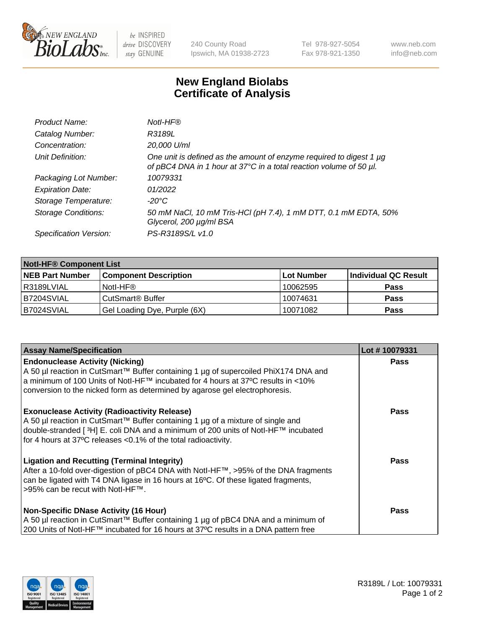

 $be$  INSPIRED drive DISCOVERY stay GENUINE

240 County Road Ipswich, MA 01938-2723 Tel 978-927-5054 Fax 978-921-1350 www.neb.com info@neb.com

## **New England Biolabs Certificate of Analysis**

| Product Name:              | Notl-HF®                                                                                                                                  |
|----------------------------|-------------------------------------------------------------------------------------------------------------------------------------------|
| Catalog Number:            | R3189L                                                                                                                                    |
| Concentration:             | 20,000 U/ml                                                                                                                               |
| Unit Definition:           | One unit is defined as the amount of enzyme required to digest 1 µg<br>of pBC4 DNA in 1 hour at 37°C in a total reaction volume of 50 µl. |
| Packaging Lot Number:      | 10079331                                                                                                                                  |
| <b>Expiration Date:</b>    | 01/2022                                                                                                                                   |
| Storage Temperature:       | $-20^{\circ}$ C                                                                                                                           |
| <b>Storage Conditions:</b> | 50 mM NaCl, 10 mM Tris-HCl (pH 7.4), 1 mM DTT, 0.1 mM EDTA, 50%<br>Glycerol, 200 µg/ml BSA                                                |
| Specification Version:     | PS-R3189S/L v1.0                                                                                                                          |

| <b>Notl-HF® Component List</b> |                              |            |                      |  |  |
|--------------------------------|------------------------------|------------|----------------------|--|--|
| <b>NEB Part Number</b>         | <b>Component Description</b> | Lot Number | Individual QC Result |  |  |
| R3189LVIAL                     | Notl-HF®                     | 10062595   | <b>Pass</b>          |  |  |
| B7204SVIAL                     | CutSmart <sup>®</sup> Buffer | 10074631   | <b>Pass</b>          |  |  |
| B7024SVIAL                     | Gel Loading Dye, Purple (6X) | 10071082   | <b>Pass</b>          |  |  |

| <b>Assay Name/Specification</b>                                                                                                                                                                                                                                                                              | Lot #10079331 |
|--------------------------------------------------------------------------------------------------------------------------------------------------------------------------------------------------------------------------------------------------------------------------------------------------------------|---------------|
| <b>Endonuclease Activity (Nicking)</b><br>  A 50 µl reaction in CutSmart™ Buffer containing 1 µg of supercoiled PhiX174 DNA and                                                                                                                                                                              | <b>Pass</b>   |
| a minimum of 100 Units of Notl-HF™ incubated for 4 hours at 37°C results in <10%<br>conversion to the nicked form as determined by agarose gel electrophoresis.                                                                                                                                              |               |
| <b>Exonuclease Activity (Radioactivity Release)</b><br>  A 50 µl reaction in CutSmart™ Buffer containing 1 µg of a mixture of single and<br>double-stranded [ <sup>3</sup> H] E. coli DNA and a minimum of 200 units of Notl-HF™ incubated<br>for 4 hours at 37°C releases <0.1% of the total radioactivity. | Pass          |
| <b>Ligation and Recutting (Terminal Integrity)</b><br>After a 10-fold over-digestion of pBC4 DNA with Notl-HF™, >95% of the DNA fragments<br>can be ligated with T4 DNA ligase in 16 hours at 16 <sup>o</sup> C. Of these ligated fragments,<br>1>95% can be recut with NotI-HF™.                            | Pass          |
| <b>Non-Specific DNase Activity (16 Hour)</b><br>A 50 µl reaction in CutSmart™ Buffer containing 1 µg of pBC4 DNA and a minimum of                                                                                                                                                                            | <b>Pass</b>   |
| 200 Units of Notl-HF™ incubated for 16 hours at 37°C results in a DNA pattern free                                                                                                                                                                                                                           |               |